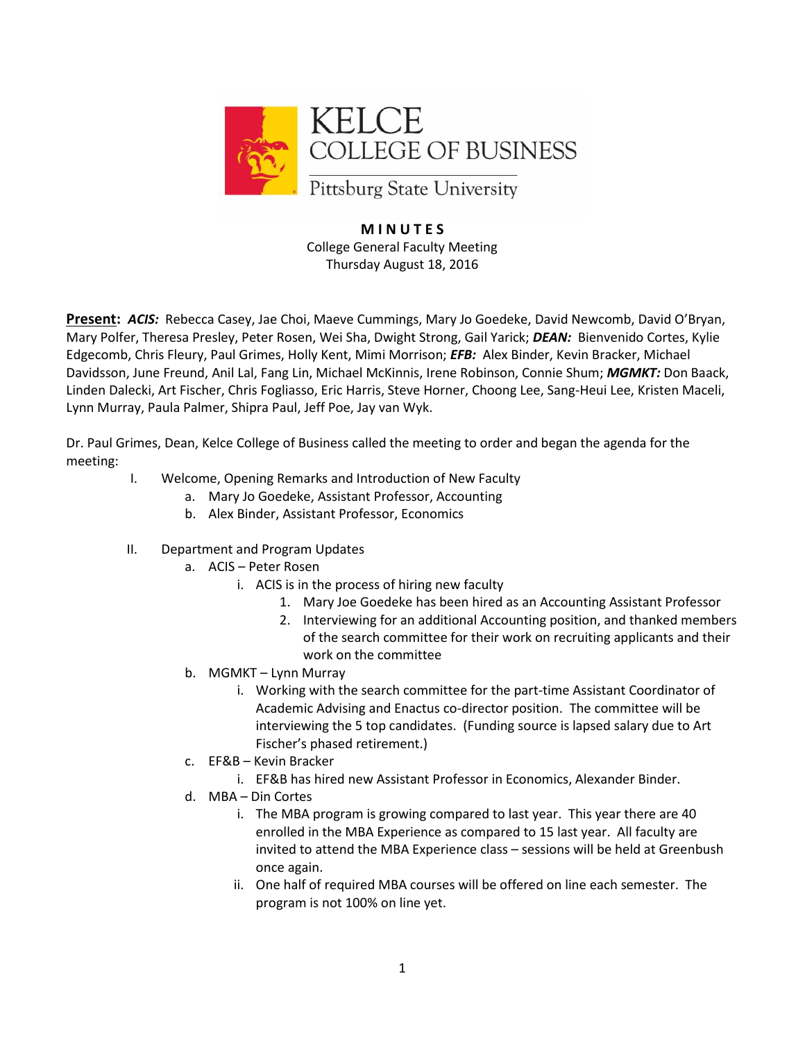

## **M I N U T E S** College General Faculty Meeting Thursday August 18, 2016

**Present:** *ACIS:* Rebecca Casey, Jae Choi, Maeve Cummings, Mary Jo Goedeke, David Newcomb, David O'Bryan, Mary Polfer, Theresa Presley, Peter Rosen, Wei Sha, Dwight Strong, Gail Yarick; *DEAN:* Bienvenido Cortes, Kylie Edgecomb, Chris Fleury, Paul Grimes, Holly Kent, Mimi Morrison; *EFB:* Alex Binder, Kevin Bracker, Michael Davidsson, June Freund, Anil Lal, Fang Lin, Michael McKinnis, Irene Robinson, Connie Shum; *MGMKT:* Don Baack, Linden Dalecki, Art Fischer, Chris Fogliasso, Eric Harris, Steve Horner, Choong Lee, Sang-Heui Lee, Kristen Maceli, Lynn Murray, Paula Palmer, Shipra Paul, Jeff Poe, Jay van Wyk.

Dr. Paul Grimes, Dean, Kelce College of Business called the meeting to order and began the agenda for the meeting:

- I. Welcome, Opening Remarks and Introduction of New Faculty
	- a. Mary Jo Goedeke, Assistant Professor, Accounting
	- b. Alex Binder, Assistant Professor, Economics
- II. Department and Program Updates
	- a. ACIS Peter Rosen
		- i. ACIS is in the process of hiring new faculty
			- 1. Mary Joe Goedeke has been hired as an Accounting Assistant Professor
			- 2. Interviewing for an additional Accounting position, and thanked members of the search committee for their work on recruiting applicants and their work on the committee
	- b. MGMKT Lynn Murray
		- i. Working with the search committee for the part-time Assistant Coordinator of Academic Advising and Enactus co-director position. The committee will be interviewing the 5 top candidates. (Funding source is lapsed salary due to Art Fischer's phased retirement.)
	- c. EF&B Kevin Bracker
		- i. EF&B has hired new Assistant Professor in Economics, Alexander Binder.
	- d. MBA Din Cortes
		- i. The MBA program is growing compared to last year. This year there are 40 enrolled in the MBA Experience as compared to 15 last year. All faculty are invited to attend the MBA Experience class – sessions will be held at Greenbush once again.
		- ii. One half of required MBA courses will be offered on line each semester. The program is not 100% on line yet.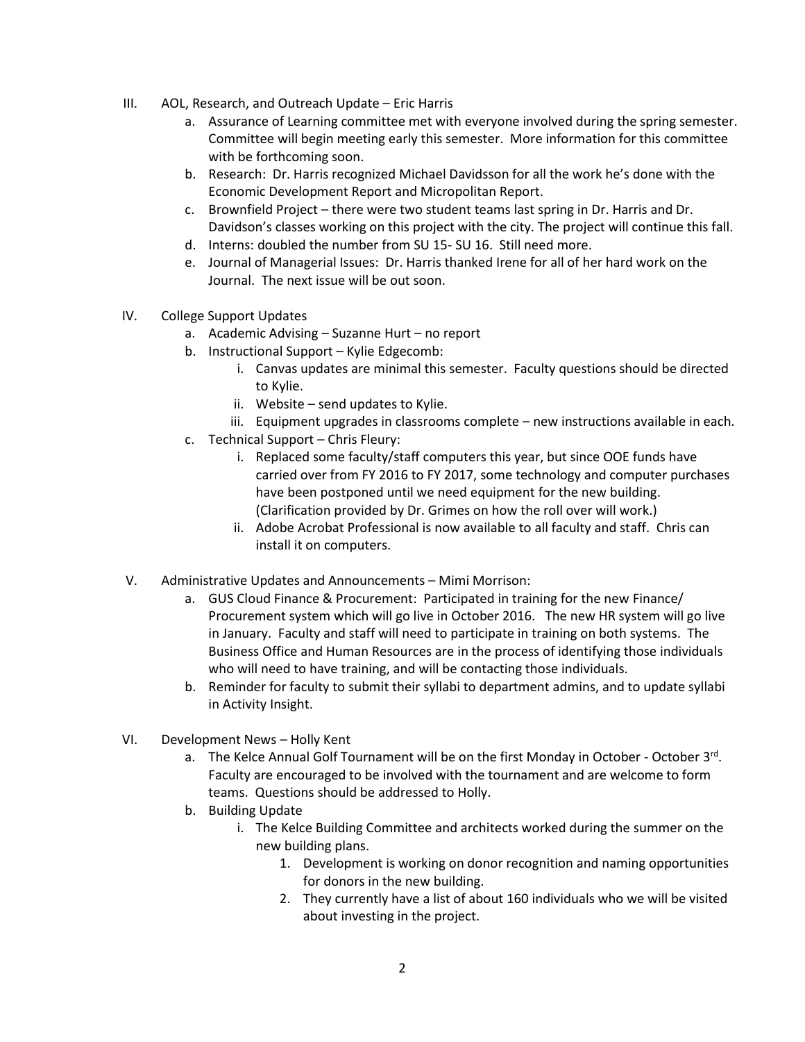- III. AOL, Research, and Outreach Update Eric Harris
	- a. Assurance of Learning committee met with everyone involved during the spring semester. Committee will begin meeting early this semester. More information for this committee with be forthcoming soon.
	- b. Research: Dr. Harris recognized Michael Davidsson for all the work he's done with the Economic Development Report and Micropolitan Report.
	- c. Brownfield Project there were two student teams last spring in Dr. Harris and Dr. Davidson's classes working on this project with the city. The project will continue this fall.
	- d. Interns: doubled the number from SU 15- SU 16. Still need more.
	- e. Journal of Managerial Issues: Dr. Harris thanked Irene for all of her hard work on the Journal. The next issue will be out soon.
- IV. College Support Updates
	- a. Academic Advising Suzanne Hurt no report
	- b. Instructional Support Kylie Edgecomb:
		- i. Canvas updates are minimal this semester. Faculty questions should be directed to Kylie.
		- ii. Website send updates to Kylie.
		- iii. Equipment upgrades in classrooms complete new instructions available in each.
	- c. Technical Support Chris Fleury:
		- i. Replaced some faculty/staff computers this year, but since OOE funds have carried over from FY 2016 to FY 2017, some technology and computer purchases have been postponed until we need equipment for the new building. (Clarification provided by Dr. Grimes on how the roll over will work.)
		- ii. Adobe Acrobat Professional is now available to all faculty and staff. Chris can install it on computers.
- V. Administrative Updates and Announcements Mimi Morrison:
	- a. GUS Cloud Finance & Procurement: Participated in training for the new Finance/ Procurement system which will go live in October 2016. The new HR system will go live in January. Faculty and staff will need to participate in training on both systems. The Business Office and Human Resources are in the process of identifying those individuals who will need to have training, and will be contacting those individuals.
	- b. Reminder for faculty to submit their syllabi to department admins, and to update syllabi in Activity Insight.
- VI. Development News Holly Kent
	- a. The Kelce Annual Golf Tournament will be on the first Monday in October October 3rd. Faculty are encouraged to be involved with the tournament and are welcome to form teams. Questions should be addressed to Holly.
	- b. Building Update
		- i. The Kelce Building Committee and architects worked during the summer on the new building plans.
			- 1. Development is working on donor recognition and naming opportunities for donors in the new building.
			- 2. They currently have a list of about 160 individuals who we will be visited about investing in the project.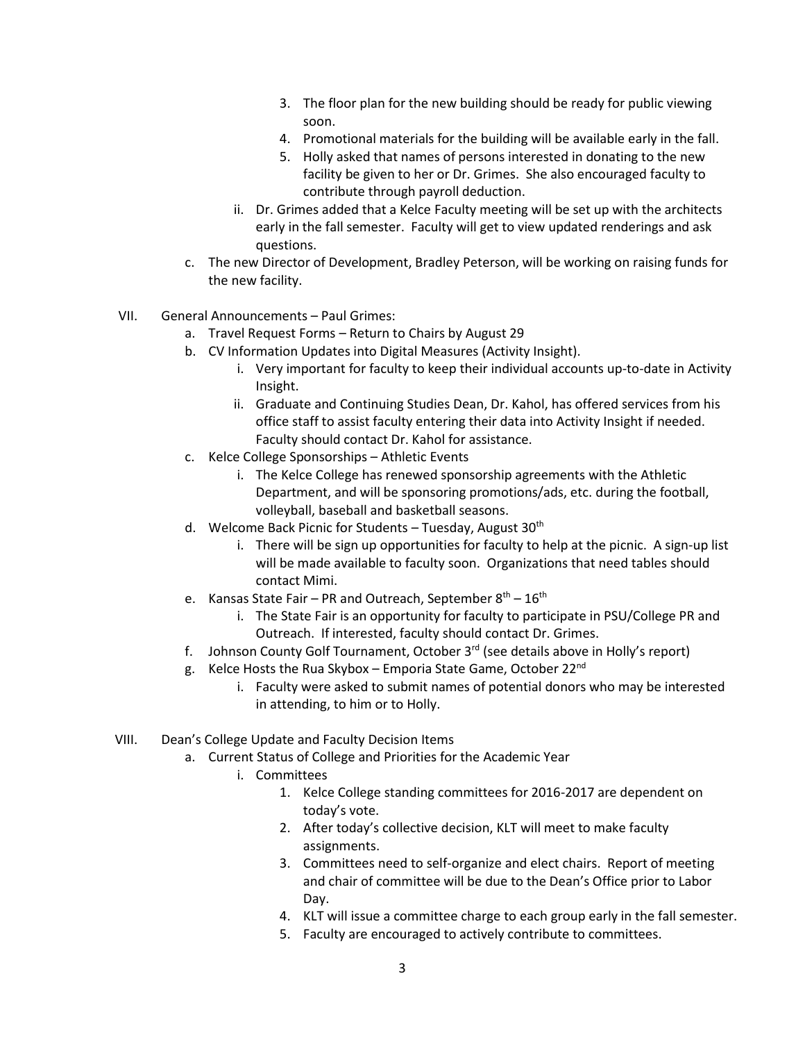- 3. The floor plan for the new building should be ready for public viewing soon.
- 4. Promotional materials for the building will be available early in the fall.
- 5. Holly asked that names of persons interested in donating to the new facility be given to her or Dr. Grimes. She also encouraged faculty to contribute through payroll deduction.
- ii. Dr. Grimes added that a Kelce Faculty meeting will be set up with the architects early in the fall semester. Faculty will get to view updated renderings and ask questions.
- c. The new Director of Development, Bradley Peterson, will be working on raising funds for the new facility.
- VII. General Announcements Paul Grimes:
	- a. Travel Request Forms Return to Chairs by August 29
	- b. CV Information Updates into Digital Measures (Activity Insight).
		- i. Very important for faculty to keep their individual accounts up-to-date in Activity Insight.
		- ii. Graduate and Continuing Studies Dean, Dr. Kahol, has offered services from his office staff to assist faculty entering their data into Activity Insight if needed. Faculty should contact Dr. Kahol for assistance.
	- c. Kelce College Sponsorships Athletic Events
		- i. The Kelce College has renewed sponsorship agreements with the Athletic Department, and will be sponsoring promotions/ads, etc. during the football, volleyball, baseball and basketball seasons.
	- d. Welcome Back Picnic for Students Tuesday, August 30<sup>th</sup>
		- i. There will be sign up opportunities for faculty to help at the picnic. A sign-up list will be made available to faculty soon. Organizations that need tables should contact Mimi.
	- e. Kansas State Fair PR and Outreach, September  $8<sup>th</sup> 16<sup>th</sup>$ 
		- i. The State Fair is an opportunity for faculty to participate in PSU/College PR and Outreach. If interested, faculty should contact Dr. Grimes.
	- f. Johnson County Golf Tournament, October  $3^{rd}$  (see details above in Holly's report)
	- g. Kelce Hosts the Rua Skybox Emporia State Game, October 22<sup>nd</sup>
		- i. Faculty were asked to submit names of potential donors who may be interested in attending, to him or to Holly.
- VIII. Dean's College Update and Faculty Decision Items
	- a. Current Status of College and Priorities for the Academic Year
		- i. Committees
			- 1. Kelce College standing committees for 2016-2017 are dependent on today's vote.
			- 2. After today's collective decision, KLT will meet to make faculty assignments.
			- 3. Committees need to self-organize and elect chairs. Report of meeting and chair of committee will be due to the Dean's Office prior to Labor Day.
			- 4. KLT will issue a committee charge to each group early in the fall semester.
			- 5. Faculty are encouraged to actively contribute to committees.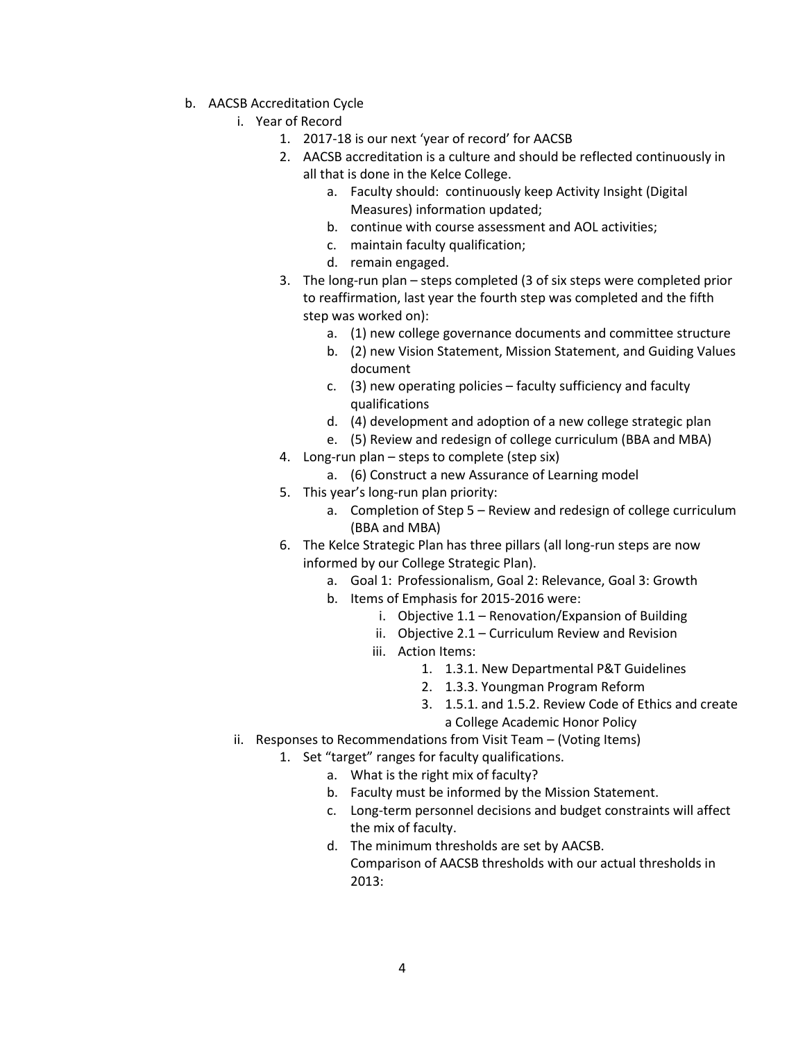- b. AACSB Accreditation Cycle
	- i. Year of Record
		- 1. 2017-18 is our next 'year of record' for AACSB
		- 2. AACSB accreditation is a culture and should be reflected continuously in all that is done in the Kelce College.
			- a. Faculty should: continuously keep Activity Insight (Digital Measures) information updated;
			- b. continue with course assessment and AOL activities;
			- c. maintain faculty qualification;
			- d. remain engaged.
		- 3. The long-run plan steps completed (3 of six steps were completed prior to reaffirmation, last year the fourth step was completed and the fifth step was worked on):
			- a. (1) new college governance documents and committee structure
			- b. (2) new Vision Statement, Mission Statement, and Guiding Values document
			- c. (3) new operating policies faculty sufficiency and faculty qualifications
			- d. (4) development and adoption of a new college strategic plan
			- e. (5) Review and redesign of college curriculum (BBA and MBA)
		- 4. Long-run plan steps to complete (step six)
			- a. (6) Construct a new Assurance of Learning model
		- 5. This year's long-run plan priority:
			- a. Completion of Step 5 Review and redesign of college curriculum (BBA and MBA)
		- 6. The Kelce Strategic Plan has three pillars (all long-run steps are now informed by our College Strategic Plan).
			- a. Goal 1: Professionalism, Goal 2: Relevance, Goal 3: Growth
			- b. Items of Emphasis for 2015-2016 were:
				- i. Objective 1.1 Renovation/Expansion of Building
				- ii. Objective 2.1 Curriculum Review and Revision
				- iii. Action Items:
					- 1. 1.3.1. New Departmental P&T Guidelines
					- 2. 1.3.3. Youngman Program Reform
					- 3. 1.5.1. and 1.5.2. Review Code of Ethics and create a College Academic Honor Policy
	- ii. Responses to Recommendations from Visit Team (Voting Items)
		- 1. Set "target" ranges for faculty qualifications.
			- a. What is the right mix of faculty?
				- b. Faculty must be informed by the Mission Statement.
				- c. Long-term personnel decisions and budget constraints will affect the mix of faculty.
				- d. The minimum thresholds are set by AACSB. Comparison of AACSB thresholds with our actual thresholds in 2013: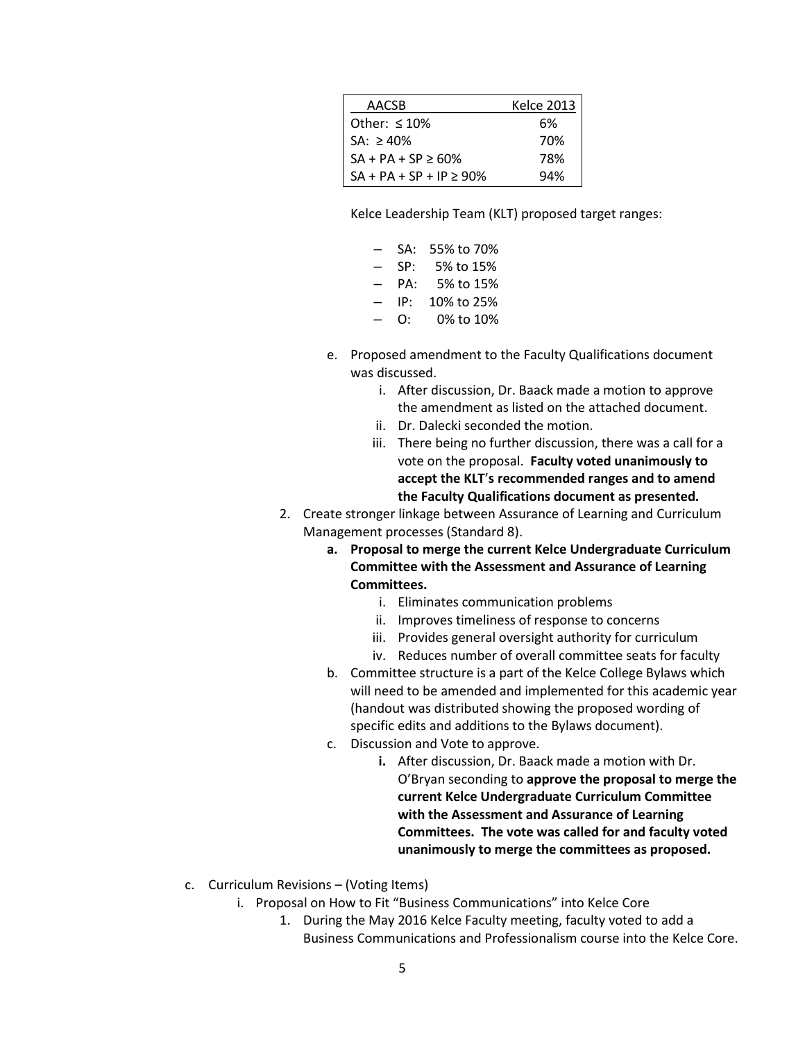| AACSB                        | <b>Kelce 2013</b> |
|------------------------------|-------------------|
| Other: $\leq 10\%$           | 6%                |
| $SA: > 40\%$                 | 70%               |
| $SA + PA + SP \ge 60\%$      | 78%               |
| $SA + PA + SP + IP \ge 90\%$ | 94%               |

Kelce Leadership Team (KLT) proposed target ranges:

- SA: 55% to 70%
- SP: 5% to 15%
- PA: 5% to 15% – IP: 10% to 25%
- O: 0% to 10%
- e. Proposed amendment to the Faculty Qualifications document was discussed.
	- i. After discussion, Dr. Baack made a motion to approve the amendment as listed on the attached document.
	- ii. Dr. Dalecki seconded the motion.
	- iii. There being no further discussion, there was a call for a vote on the proposal. **Faculty voted unanimously to accept the KLT**'**s recommended ranges and to amend the Faculty Qualifications document as presented.**
- 2. Create stronger linkage between Assurance of Learning and Curriculum Management processes (Standard 8).
	- **a. Proposal to merge the current Kelce Undergraduate Curriculum Committee with the Assessment and Assurance of Learning Committees.**
		- i. Eliminates communication problems
		- ii. Improves timeliness of response to concerns
		- iii. Provides general oversight authority for curriculum
		- iv. Reduces number of overall committee seats for faculty
	- b. Committee structure is a part of the Kelce College Bylaws which will need to be amended and implemented for this academic year (handout was distributed showing the proposed wording of specific edits and additions to the Bylaws document).
	- c. Discussion and Vote to approve.
		- **i.** After discussion, Dr. Baack made a motion with Dr. O'Bryan seconding to **approve the proposal to merge the current Kelce Undergraduate Curriculum Committee with the Assessment and Assurance of Learning Committees. The vote was called for and faculty voted unanimously to merge the committees as proposed.**
- c. Curriculum Revisions (Voting Items)
	- i. Proposal on How to Fit "Business Communications" into Kelce Core
		- 1. During the May 2016 Kelce Faculty meeting, faculty voted to add a Business Communications and Professionalism course into the Kelce Core.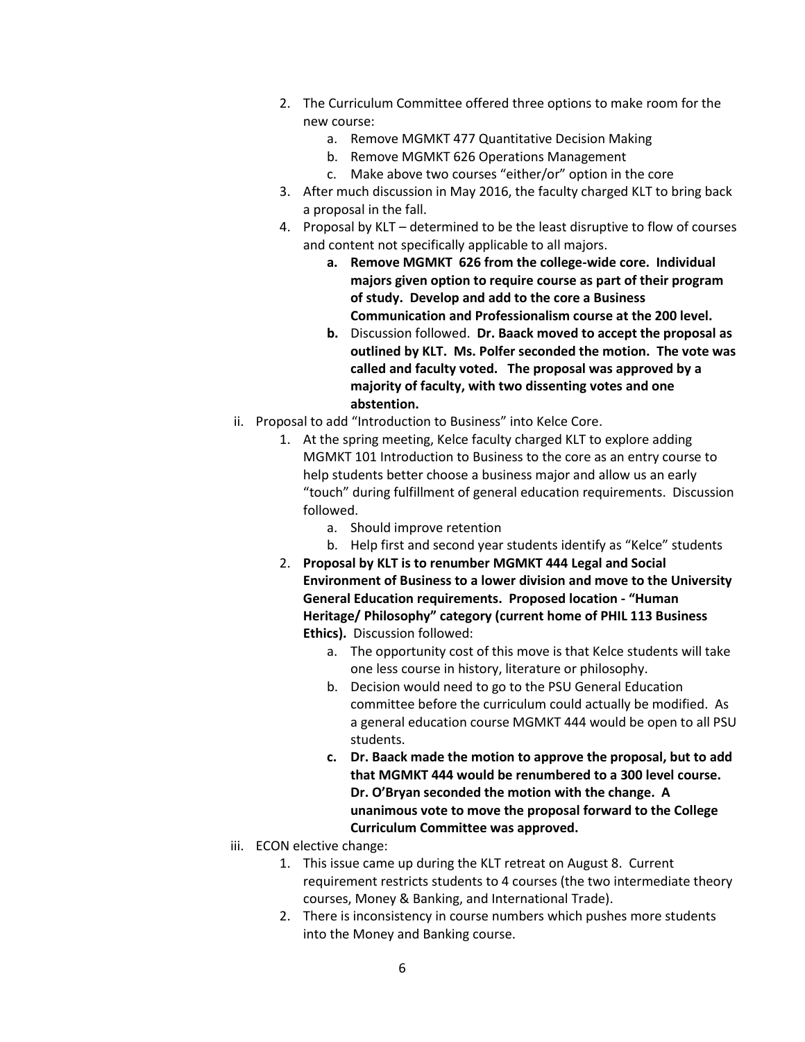- 2. The Curriculum Committee offered three options to make room for the new course:
	- a. Remove MGMKT 477 Quantitative Decision Making
	- b. Remove MGMKT 626 Operations Management
	- c. Make above two courses "either/or" option in the core
- 3. After much discussion in May 2016, the faculty charged KLT to bring back a proposal in the fall.
- 4. Proposal by KLT determined to be the least disruptive to flow of courses and content not specifically applicable to all majors.
	- **a. Remove MGMKT 626 from the college-wide core. Individual majors given option to require course as part of their program of study. Develop and add to the core a Business Communication and Professionalism course at the 200 level.**
	- **b.** Discussion followed. **Dr. Baack moved to accept the proposal as outlined by KLT. Ms. Polfer seconded the motion. The vote was called and faculty voted. The proposal was approved by a majority of faculty, with two dissenting votes and one abstention.**
- ii. Proposal to add "Introduction to Business" into Kelce Core.
	- 1. At the spring meeting, Kelce faculty charged KLT to explore adding MGMKT 101 Introduction to Business to the core as an entry course to help students better choose a business major and allow us an early "touch" during fulfillment of general education requirements. Discussion followed.
		- a. Should improve retention
		- b. Help first and second year students identify as "Kelce" students
	- 2. **Proposal by KLT is to renumber MGMKT 444 Legal and Social Environment of Business to a lower division and move to the University General Education requirements. Proposed location - "Human Heritage/ Philosophy" category (current home of PHIL 113 Business Ethics).** Discussion followed:
		- a. The opportunity cost of this move is that Kelce students will take one less course in history, literature or philosophy.
		- b. Decision would need to go to the PSU General Education committee before the curriculum could actually be modified. As a general education course MGMKT 444 would be open to all PSU students.
		- **c. Dr. Baack made the motion to approve the proposal, but to add that MGMKT 444 would be renumbered to a 300 level course. Dr. O'Bryan seconded the motion with the change. A unanimous vote to move the proposal forward to the College Curriculum Committee was approved.**
- iii. ECON elective change:
	- 1. This issue came up during the KLT retreat on August 8. Current requirement restricts students to 4 courses (the two intermediate theory courses, Money & Banking, and International Trade).
	- 2. There is inconsistency in course numbers which pushes more students into the Money and Banking course.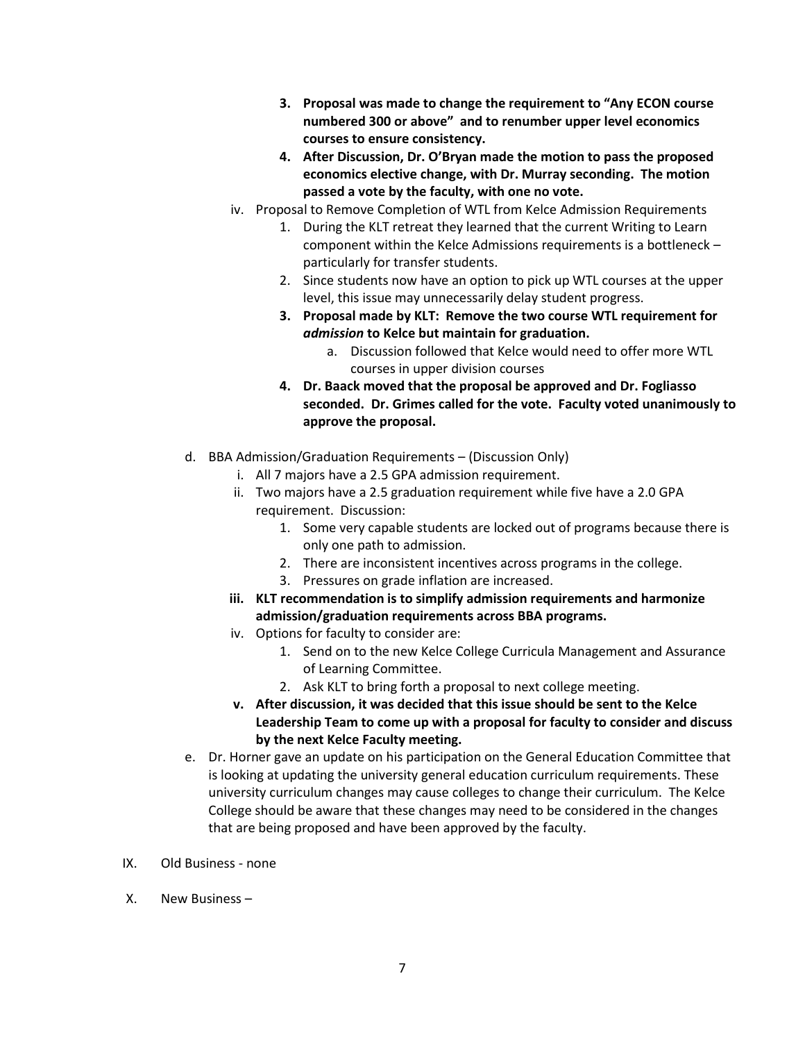- **3. Proposal was made to change the requirement to "Any ECON course numbered 300 or above" and to renumber upper level economics courses to ensure consistency.**
- **4. After Discussion, Dr. O'Bryan made the motion to pass the proposed economics elective change, with Dr. Murray seconding. The motion passed a vote by the faculty, with one no vote.**
- iv. Proposal to Remove Completion of WTL from Kelce Admission Requirements
	- 1. During the KLT retreat they learned that the current Writing to Learn component within the Kelce Admissions requirements is a bottleneck – particularly for transfer students.
	- 2. Since students now have an option to pick up WTL courses at the upper level, this issue may unnecessarily delay student progress.
	- **3. Proposal made by KLT: Remove the two course WTL requirement for**  *admission* **to Kelce but maintain for graduation.** 
		- a. Discussion followed that Kelce would need to offer more WTL courses in upper division courses
	- **4. Dr. Baack moved that the proposal be approved and Dr. Fogliasso seconded. Dr. Grimes called for the vote. Faculty voted unanimously to approve the proposal.**
- d. BBA Admission/Graduation Requirements (Discussion Only)
	- i. All 7 majors have a 2.5 GPA admission requirement.
	- ii. Two majors have a 2.5 graduation requirement while five have a 2.0 GPA requirement. Discussion:
		- 1. Some very capable students are locked out of programs because there is only one path to admission.
		- 2. There are inconsistent incentives across programs in the college.
		- 3. Pressures on grade inflation are increased.
	- **iii. KLT recommendation is to simplify admission requirements and harmonize admission/graduation requirements across BBA programs.**
	- iv. Options for faculty to consider are:
		- 1. Send on to the new Kelce College Curricula Management and Assurance of Learning Committee.
		- 2. Ask KLT to bring forth a proposal to next college meeting.
	- **v. After discussion, it was decided that this issue should be sent to the Kelce Leadership Team to come up with a proposal for faculty to consider and discuss by the next Kelce Faculty meeting.**
- e. Dr. Horner gave an update on his participation on the General Education Committee that is looking at updating the university general education curriculum requirements. These university curriculum changes may cause colleges to change their curriculum. The Kelce College should be aware that these changes may need to be considered in the changes that are being proposed and have been approved by the faculty.
- IX. Old Business none
- X. New Business –